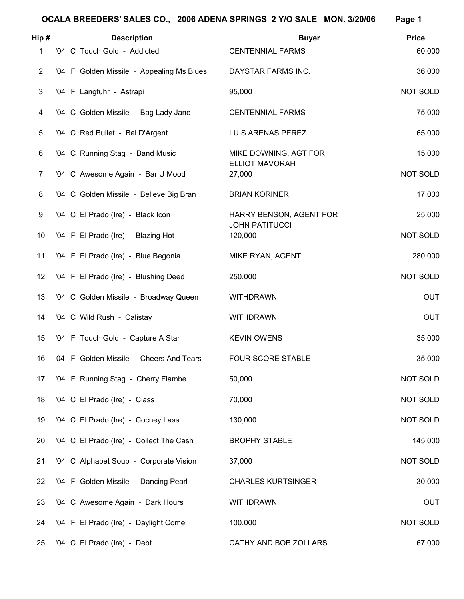| Hip#           | <b>Description</b>                        | <b>Buyer</b>                     | <b>Price</b>    |
|----------------|-------------------------------------------|----------------------------------|-----------------|
| 1              | '04 C Touch Gold - Addicted               | <b>CENTENNIAL FARMS</b>          | 60,000          |
| $\overline{2}$ | '04 F Golden Missile - Appealing Ms Blues | DAYSTAR FARMS INC.               | 36,000          |
| 3              | '04 F Langfuhr - Astrapi                  | 95,000                           | NOT SOLD        |
| 4              | '04 C Golden Missile - Bag Lady Jane      | <b>CENTENNIAL FARMS</b>          | 75,000          |
| 5              | '04 C Red Bullet - Bal D'Argent           | LUIS ARENAS PEREZ                | 65,000          |
| 6              | '04 C Running Stag - Band Music           | MIKE DOWNING, AGT FOR            | 15,000          |
| $\overline{7}$ | '04 C Awesome Again - Bar U Mood          | <b>ELLIOT MAVORAH</b><br>27,000  | <b>NOT SOLD</b> |
| 8              | '04 C Golden Missile - Believe Big Bran   | <b>BRIAN KORINER</b>             | 17,000          |
| 9              | '04 C El Prado (Ire) - Black Icon         | HARRY BENSON, AGENT FOR          | 25,000          |
| 10             | '04 F El Prado (Ire) - Blazing Hot        | <b>JOHN PATITUCCI</b><br>120,000 | <b>NOT SOLD</b> |
| 11             | '04 F El Prado (Ire) - Blue Begonia       | MIKE RYAN, AGENT                 | 280,000         |
| 12             | '04 F El Prado (Ire) - Blushing Deed      | 250,000                          | <b>NOT SOLD</b> |
| 13             | '04 C Golden Missile - Broadway Queen     | <b>WITHDRAWN</b>                 | <b>OUT</b>      |
| 14             | '04 C Wild Rush - Calistay                | <b>WITHDRAWN</b>                 | <b>OUT</b>      |
| 15             | '04 F Touch Gold - Capture A Star         | <b>KEVIN OWENS</b>               | 35,000          |
| 16             | 04 F Golden Missile - Cheers And Tears    | <b>FOUR SCORE STABLE</b>         | 35,000          |
| 17             | '04 F Running Stag - Cherry Flambe        | 50,000                           | <b>NOT SOLD</b> |
| 18             | '04 C El Prado (Ire) - Class              | 70,000                           | <b>NOT SOLD</b> |
| 19             | '04 C El Prado (Ire) - Cocney Lass        | 130,000                          | <b>NOT SOLD</b> |
| 20             | '04 C El Prado (Ire) - Collect The Cash   | <b>BROPHY STABLE</b>             | 145,000         |
| 21             | '04 C Alphabet Soup - Corporate Vision    | 37,000                           | <b>NOT SOLD</b> |
| 22             | '04 F Golden Missile - Dancing Pearl      | <b>CHARLES KURTSINGER</b>        | 30,000          |
| 23             | '04 C Awesome Again - Dark Hours          | <b>WITHDRAWN</b>                 | <b>OUT</b>      |
| 24             | '04 F El Prado (Ire) - Daylight Come      | 100,000                          | <b>NOT SOLD</b> |
| 25             | '04 C El Prado (Ire) - Debt               | CATHY AND BOB ZOLLARS            | 67,000          |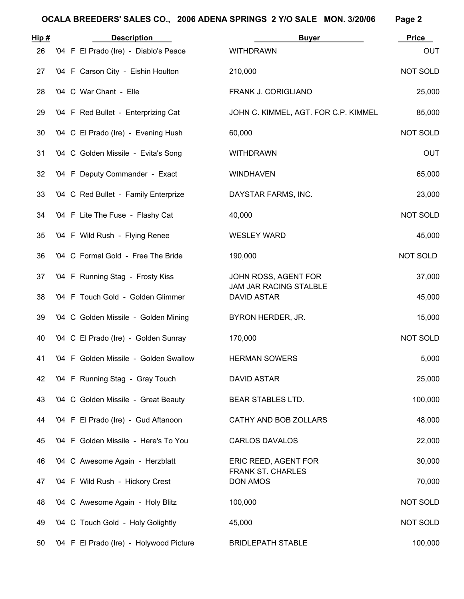| Hip# | <b>Description</b>                      | <b>Buyer</b>                                     | <b>Price</b>    |
|------|-----------------------------------------|--------------------------------------------------|-----------------|
| 26   | '04 F El Prado (Ire) - Diablo's Peace   | <b>WITHDRAWN</b>                                 | <b>OUT</b>      |
| 27   | '04 F Carson City - Eishin Houlton      | 210,000                                          | NOT SOLD        |
| 28   | '04 C War Chant - Elle                  | FRANK J. CORIGLIANO                              | 25,000          |
| 29   | '04 F Red Bullet - Enterprizing Cat     | JOHN C. KIMMEL, AGT. FOR C.P. KIMMEL             | 85,000          |
| 30   | '04 C El Prado (Ire) - Evening Hush     | 60,000                                           | NOT SOLD        |
| 31   | '04 C Golden Missile - Evita's Song     | <b>WITHDRAWN</b>                                 | <b>OUT</b>      |
| 32   | '04 F Deputy Commander - Exact          | <b>WINDHAVEN</b>                                 | 65,000          |
| 33   | '04 C Red Bullet - Family Enterprize    | DAYSTAR FARMS, INC.                              | 23,000          |
| 34   | '04 F Lite The Fuse - Flashy Cat        | 40,000                                           | <b>NOT SOLD</b> |
| 35   | '04 F Wild Rush - Flying Renee          | <b>WESLEY WARD</b>                               | 45,000          |
| 36   | '04 C Formal Gold - Free The Bride      | 190,000                                          | NOT SOLD        |
| 37   | '04 F Running Stag - Frosty Kiss        | JOHN ROSS, AGENT FOR                             | 37,000          |
| 38   | '04 F Touch Gold - Golden Glimmer       | JAM JAR RACING STALBLE<br><b>DAVID ASTAR</b>     | 45,000          |
| 39   | '04 C Golden Missile - Golden Mining    | BYRON HERDER, JR.                                | 15,000          |
| 40   | '04 C El Prado (Ire) - Golden Sunray    | 170,000                                          | NOT SOLD        |
| 41   | '04 F Golden Missile - Golden Swallow   | <b>HERMAN SOWERS</b>                             | 5,000           |
| 42   | '04 F Running Stag - Gray Touch         | <b>DAVID ASTAR</b>                               | 25,000          |
| 43   | '04 C Golden Missile - Great Beauty     | BEAR STABLES LTD.                                | 100,000         |
| 44   | '04 F El Prado (Ire) - Gud Aftanoon     | CATHY AND BOB ZOLLARS                            | 48,000          |
| 45   | '04 F Golden Missile - Here's To You    | <b>CARLOS DAVALOS</b>                            | 22,000          |
| 46   | '04 C Awesome Again - Herzblatt         | ERIC REED, AGENT FOR<br><b>FRANK ST. CHARLES</b> | 30,000          |
| 47   | '04 F Wild Rush - Hickory Crest         | <b>DON AMOS</b>                                  | 70,000          |
| 48   | '04 C Awesome Again - Holy Blitz        | 100,000                                          | NOT SOLD        |
| 49   | '04 C Touch Gold - Holy Golightly       | 45,000                                           | NOT SOLD        |
| 50   | '04 F El Prado (Ire) - Holywood Picture | <b>BRIDLEPATH STABLE</b>                         | 100,000         |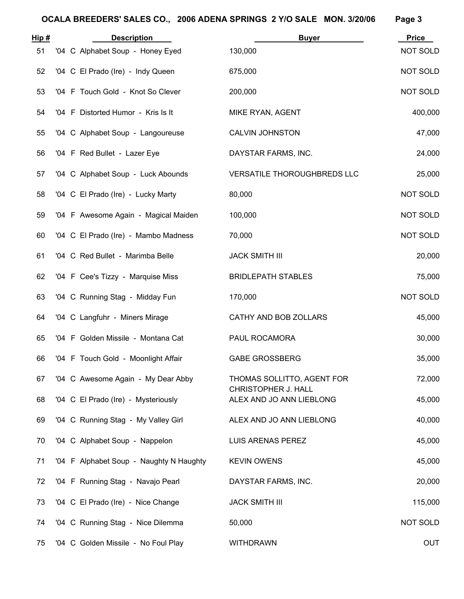| <u>Hip #</u> | <b>Description</b>                      | <b>Buyer</b>                                    | <b>Price</b>    |
|--------------|-----------------------------------------|-------------------------------------------------|-----------------|
| 51           | '04 C Alphabet Soup - Honey Eyed        | 130,000                                         | NOT SOLD        |
| 52           | '04 C El Prado (Ire) - Indy Queen       | 675,000                                         | <b>NOT SOLD</b> |
| 53           | '04 F Touch Gold - Knot So Clever       | 200,000                                         | NOT SOLD        |
| 54           | '04 F Distorted Humor - Kris Is It      | MIKE RYAN, AGENT                                | 400,000         |
| 55           | '04 C Alphabet Soup - Langoureuse       | <b>CALVIN JOHNSTON</b>                          | 47,000          |
| 56           | '04 F Red Bullet - Lazer Eye            | DAYSTAR FARMS, INC.                             | 24,000          |
| 57           | '04 C Alphabet Soup - Luck Abounds      | VERSATILE THOROUGHBREDS LLC                     | 25,000          |
| 58           | '04 C El Prado (Ire) - Lucky Marty      | 80,000                                          | <b>NOT SOLD</b> |
| 59           | '04 F Awesome Again - Magical Maiden    | 100,000                                         | NOT SOLD        |
| 60           | '04 C El Prado (Ire) - Mambo Madness    | 70,000                                          | <b>NOT SOLD</b> |
| 61           | '04 C Red Bullet - Marimba Belle        | <b>JACK SMITH III</b>                           | 20,000          |
| 62           | '04 F Cee's Tizzy - Marquise Miss       | <b>BRIDLEPATH STABLES</b>                       | 75,000          |
| 63           | '04 C Running Stag - Midday Fun         | 170,000                                         | NOT SOLD        |
| 64           | '04 C Langfuhr - Miners Mirage          | CATHY AND BOB ZOLLARS                           | 45,000          |
| 65           | '04 F Golden Missile - Montana Cat      | PAUL ROCAMORA                                   | 30,000          |
| 66           | '04 F Touch Gold - Moonlight Affair     | <b>GABE GROSSBERG</b>                           | 35,000          |
| 67           | '04 C Awesome Again - My Dear Abby      | THOMAS SOLLITTO, AGENT FOR                      | 72,000          |
| 68           | '04 C El Prado (Ire) - Mysteriously     | CHRISTOPHER J. HALL<br>ALEX AND JO ANN LIEBLONG | 45,000          |
| 69           | '04 C Running Stag - My Valley Girl     | ALEX AND JO ANN LIEBLONG                        | 40,000          |
| 70           | '04 C Alphabet Soup - Nappelon          | LUIS ARENAS PEREZ                               | 45,000          |
| 71           | '04 F Alphabet Soup - Naughty N Haughty | <b>KEVIN OWENS</b>                              | 45,000          |
| 72           | '04 F Running Stag - Navajo Pearl       | DAYSTAR FARMS, INC.                             | 20,000          |
| 73           | '04 C El Prado (Ire) - Nice Change      | <b>JACK SMITH III</b>                           | 115,000         |
| 74           | '04 C Running Stag - Nice Dilemma       | 50,000                                          | NOT SOLD        |
| 75           | '04 C Golden Missile - No Foul Play     | <b>WITHDRAWN</b>                                | <b>OUT</b>      |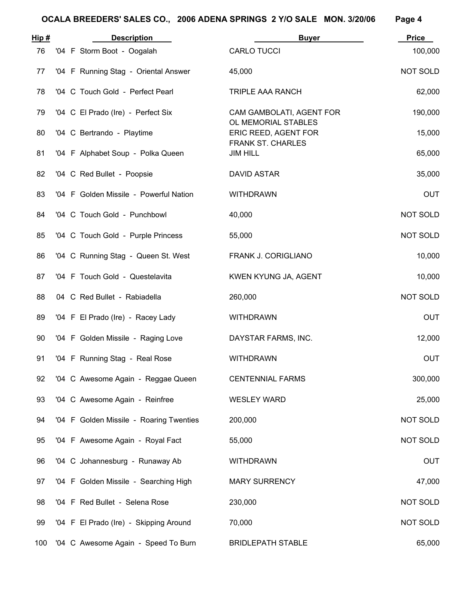| Hip# | <b>Description</b>                      | <b>Buyer</b>                                     | <b>Price</b> |
|------|-----------------------------------------|--------------------------------------------------|--------------|
| 76   | '04 F Storm Boot - Oogalah              | <b>CARLO TUCCI</b>                               | 100,000      |
| 77   | '04 F Running Stag - Oriental Answer    | 45,000                                           | NOT SOLD     |
| 78   | '04 C Touch Gold - Perfect Pearl        | <b>TRIPLE AAA RANCH</b>                          | 62,000       |
| 79   | '04 C El Prado (Ire) - Perfect Six      | CAM GAMBOLATI, AGENT FOR<br>OL MEMORIAL STABLES  | 190,000      |
| 80   | '04 C Bertrando - Playtime              | ERIC REED, AGENT FOR<br><b>FRANK ST. CHARLES</b> | 15,000       |
| 81   | '04 F Alphabet Soup - Polka Queen       | <b>JIM HILL</b>                                  | 65,000       |
| 82   | '04 C Red Bullet - Poopsie              | <b>DAVID ASTAR</b>                               | 35,000       |
| 83   | '04 F Golden Missile - Powerful Nation  | <b>WITHDRAWN</b>                                 | <b>OUT</b>   |
| 84   | '04 C Touch Gold - Punchbowl            | 40,000                                           | NOT SOLD     |
| 85   | '04 C Touch Gold - Purple Princess      | 55,000                                           | NOT SOLD     |
| 86   | '04 C Running Stag - Queen St. West     | FRANK J. CORIGLIANO                              | 10,000       |
| 87   | '04 F Touch Gold - Questelavita         | KWEN KYUNG JA, AGENT                             | 10,000       |
| 88   | 04 C Red Bullet - Rabiadella            | 260,000                                          | NOT SOLD     |
| 89   | '04 F El Prado (Ire) - Racey Lady       | <b>WITHDRAWN</b>                                 | <b>OUT</b>   |
| 90   | '04 F Golden Missile - Raging Love      | DAYSTAR FARMS, INC.                              | 12,000       |
| 91   | '04 F Running Stag - Real Rose          | <b>WITHDRAWN</b>                                 | <b>OUT</b>   |
| 92   | '04 C Awesome Again - Reggae Queen      | <b>CENTENNIAL FARMS</b>                          | 300,000      |
| 93   | '04 C Awesome Again - Reinfree          | <b>WESLEY WARD</b>                               | 25,000       |
| 94   | '04 F Golden Missile - Roaring Twenties | 200,000                                          | NOT SOLD     |
| 95   | '04 F Awesome Again - Royal Fact        | 55,000                                           | NOT SOLD     |
| 96   | '04 C Johannesburg - Runaway Ab         | <b>WITHDRAWN</b>                                 | <b>OUT</b>   |
| 97   | '04 F Golden Missile - Searching High   | <b>MARY SURRENCY</b>                             | 47,000       |
| 98   | '04 F Red Bullet - Selena Rose          | 230,000                                          | NOT SOLD     |
| 99   | '04 F El Prado (Ire) - Skipping Around  | 70,000                                           | NOT SOLD     |
| 100  | '04 C Awesome Again - Speed To Burn     | <b>BRIDLEPATH STABLE</b>                         | 65,000       |